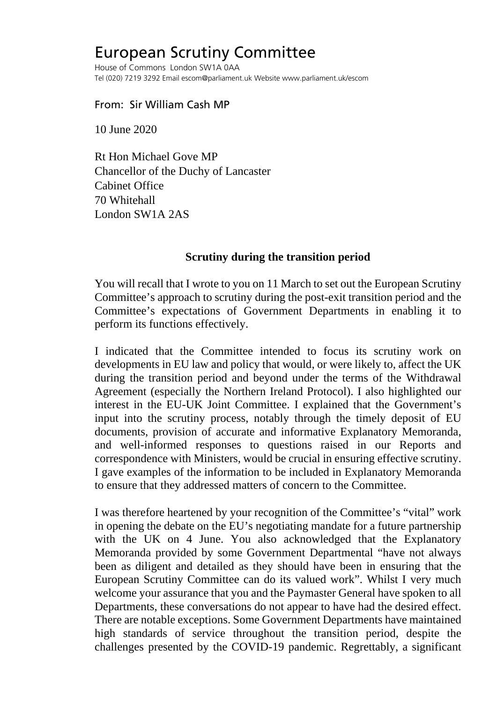## European Scrutiny Committee

House of Commons London SW1A 0AA Tel (020) 7219 3292 Email escom@parliament.uk Website www.parliament.uk/escom

## From: Sir William Cash MP

10 June 2020

Rt Hon Michael Gove MP Chancellor of the Duchy of Lancaster Cabinet Office 70 Whitehall London SW1A 2AS

## **Scrutiny during the transition period**

You will recall that I wrote to you on 11 March to set out the European Scrutiny Committee's approach to scrutiny during the post-exit transition period and the Committee's expectations of Government Departments in enabling it to perform its functions effectively.

I indicated that the Committee intended to focus its scrutiny work on developments in EU law and policy that would, or were likely to, affect the UK during the transition period and beyond under the terms of the Withdrawal Agreement (especially the Northern Ireland Protocol). I also highlighted our interest in the EU-UK Joint Committee. I explained that the Government's input into the scrutiny process, notably through the timely deposit of EU documents, provision of accurate and informative Explanatory Memoranda, and well-informed responses to questions raised in our Reports and correspondence with Ministers, would be crucial in ensuring effective scrutiny. I gave examples of the information to be included in Explanatory Memoranda to ensure that they addressed matters of concern to the Committee.

I was therefore heartened by your recognition of the Committee's "vital" work in opening the debate on the EU's negotiating mandate for a future partnership with the UK on 4 June. You also acknowledged that the Explanatory Memoranda provided by some Government Departmental "have not always been as diligent and detailed as they should have been in ensuring that the European Scrutiny Committee can do its valued work". Whilst I very much welcome your assurance that you and the Paymaster General have spoken to all Departments, these conversations do not appear to have had the desired effect. There are notable exceptions. Some Government Departments have maintained high standards of service throughout the transition period, despite the challenges presented by the COVID-19 pandemic. Regrettably, a significant